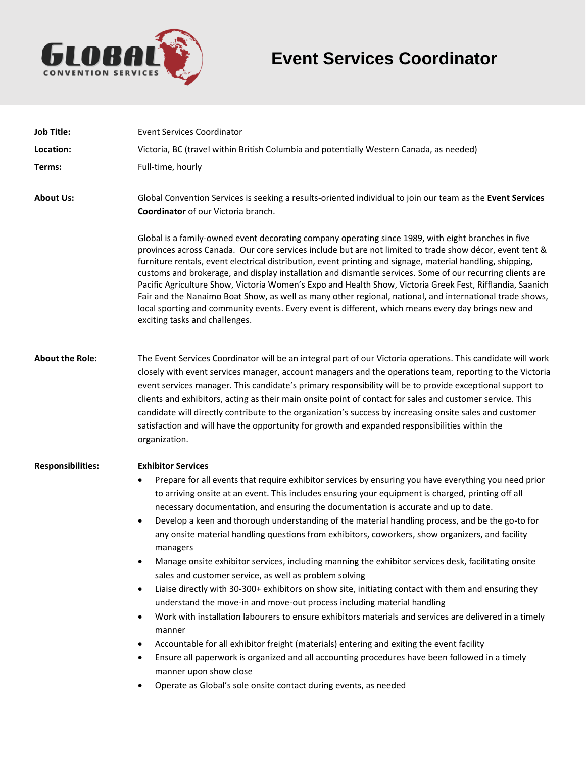

# **Event Services Coordinator**

| <b>Job Title:</b>        | <b>Event Services Coordinator</b>                                                                                                                                                                                                                                                                                                                                                                                                                                                                                                                                                                                                                                                                                                                                                                                                                                                                                                                                                                                                                                                                                                                                                                                                                                                                                                                                                       |
|--------------------------|-----------------------------------------------------------------------------------------------------------------------------------------------------------------------------------------------------------------------------------------------------------------------------------------------------------------------------------------------------------------------------------------------------------------------------------------------------------------------------------------------------------------------------------------------------------------------------------------------------------------------------------------------------------------------------------------------------------------------------------------------------------------------------------------------------------------------------------------------------------------------------------------------------------------------------------------------------------------------------------------------------------------------------------------------------------------------------------------------------------------------------------------------------------------------------------------------------------------------------------------------------------------------------------------------------------------------------------------------------------------------------------------|
| Location:                | Victoria, BC (travel within British Columbia and potentially Western Canada, as needed)                                                                                                                                                                                                                                                                                                                                                                                                                                                                                                                                                                                                                                                                                                                                                                                                                                                                                                                                                                                                                                                                                                                                                                                                                                                                                                 |
| Terms:                   | Full-time, hourly                                                                                                                                                                                                                                                                                                                                                                                                                                                                                                                                                                                                                                                                                                                                                                                                                                                                                                                                                                                                                                                                                                                                                                                                                                                                                                                                                                       |
| <b>About Us:</b>         | Global Convention Services is seeking a results-oriented individual to join our team as the Event Services<br>Coordinator of our Victoria branch.                                                                                                                                                                                                                                                                                                                                                                                                                                                                                                                                                                                                                                                                                                                                                                                                                                                                                                                                                                                                                                                                                                                                                                                                                                       |
|                          | Global is a family-owned event decorating company operating since 1989, with eight branches in five<br>provinces across Canada. Our core services include but are not limited to trade show décor, event tent &<br>furniture rentals, event electrical distribution, event printing and signage, material handling, shipping,<br>customs and brokerage, and display installation and dismantle services. Some of our recurring clients are<br>Pacific Agriculture Show, Victoria Women's Expo and Health Show, Victoria Greek Fest, Rifflandia, Saanich<br>Fair and the Nanaimo Boat Show, as well as many other regional, national, and international trade shows,<br>local sporting and community events. Every event is different, which means every day brings new and<br>exciting tasks and challenges.                                                                                                                                                                                                                                                                                                                                                                                                                                                                                                                                                                            |
| <b>About the Role:</b>   | The Event Services Coordinator will be an integral part of our Victoria operations. This candidate will work<br>closely with event services manager, account managers and the operations team, reporting to the Victoria<br>event services manager. This candidate's primary responsibility will be to provide exceptional support to<br>clients and exhibitors, acting as their main onsite point of contact for sales and customer service. This<br>candidate will directly contribute to the organization's success by increasing onsite sales and customer<br>satisfaction and will have the opportunity for growth and expanded responsibilities within the<br>organization.                                                                                                                                                                                                                                                                                                                                                                                                                                                                                                                                                                                                                                                                                                       |
| <b>Responsibilities:</b> | <b>Exhibitor Services</b><br>Prepare for all events that require exhibitor services by ensuring you have everything you need prior<br>٠<br>to arriving onsite at an event. This includes ensuring your equipment is charged, printing off all<br>necessary documentation, and ensuring the documentation is accurate and up to date.<br>Develop a keen and thorough understanding of the material handling process, and be the go-to for<br>$\bullet$<br>any onsite material handling questions from exhibitors, coworkers, show organizers, and facility<br>managers<br>Manage onsite exhibitor services, including manning the exhibitor services desk, facilitating onsite<br>sales and customer service, as well as problem solving<br>Liaise directly with 30-300+ exhibitors on show site, initiating contact with them and ensuring they<br>$\bullet$<br>understand the move-in and move-out process including material handling<br>Work with installation labourers to ensure exhibitors materials and services are delivered in a timely<br>$\bullet$<br>manner<br>Accountable for all exhibitor freight (materials) entering and exiting the event facility<br>$\bullet$<br>Ensure all paperwork is organized and all accounting procedures have been followed in a timely<br>٠<br>manner upon show close<br>Operate as Global's sole onsite contact during events, as needed |